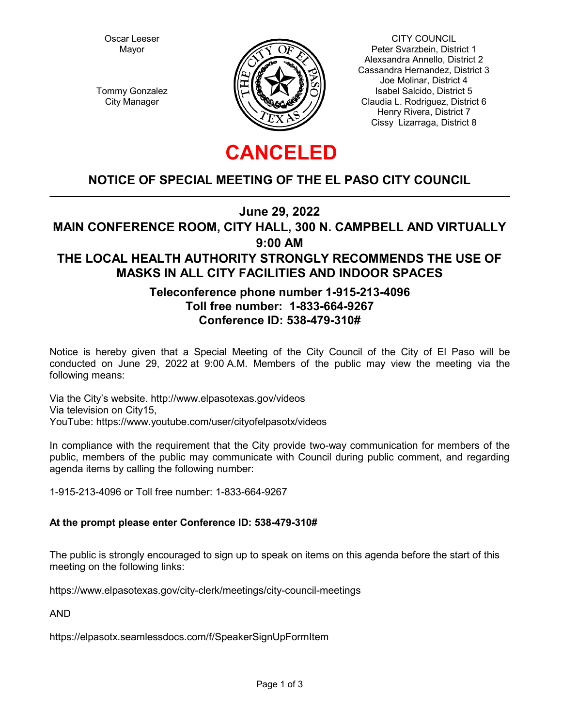Oscar Leeser Mayor

Tommy Gonzalez City Manager



CITY COUNCIL Peter Svarzbein, District 1 Alexsandra Annello, District 2 Cassandra Hernandez, District 3 Joe Molinar, District 4 Isabel Salcido, District 5 Claudia L. Rodriguez, District 6 Henry Rivera, District 7 Cissy Lizarraga, District 8

# **CANCELED**

## **NOTICE OF SPECIAL MEETING OF THE EL PASO CITY COUNCIL**

**June 29, 2022**

**MAIN CONFERENCE ROOM, CITY HALL, 300 N. CAMPBELL AND VIRTUALLY**

**9:00 AM**

## **THE LOCAL HEALTH AUTHORITY STRONGLY RECOMMENDS THE USE OF MASKS IN ALL CITY FACILITIES AND INDOOR SPACES**

## **Teleconference phone number 1-915-213-4096 Toll free number: 1-833-664-9267 Conference ID: 538-479-310#**

Notice is hereby given that a Special Meeting of the City Council of the City of El Paso will be conducted on June 29, 2022 at 9:00 A.M. Members of the public may view the meeting via the following means:

Via the City's website. http://www.elpasotexas.gov/videos Via television on City15, YouTube: https://www.youtube.com/user/cityofelpasotx/videos

In compliance with the requirement that the City provide two-way communication for members of the public, members of the public may communicate with Council during public comment, and regarding agenda items by calling the following number:

1-915-213-4096 or Toll free number: 1-833-664-9267

#### **At the prompt please enter Conference ID: 538-479-310#**

The public is strongly encouraged to sign up to speak on items on this agenda before the start of this meeting on the following links:

https://www.elpasotexas.gov/city-clerk/meetings/city-council-meetings

AND

https://elpasotx.seamlessdocs.com/f/SpeakerSignUpFormItem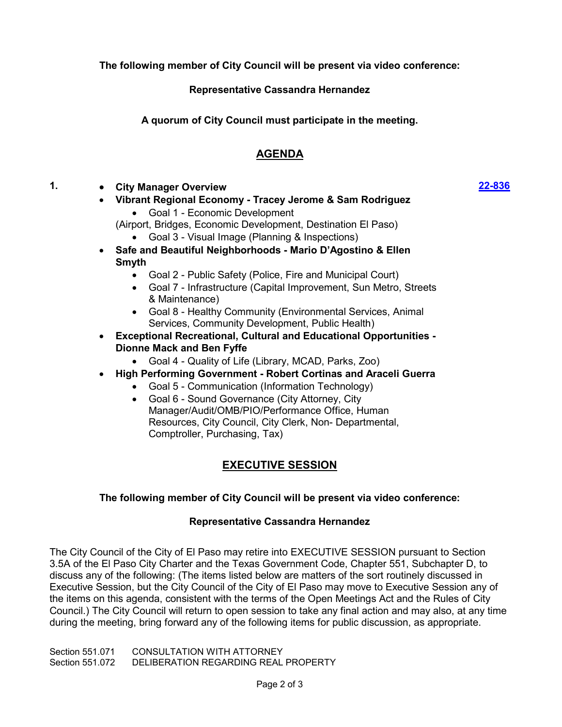**The following member of City Council will be present via video conference:**

**Representative Cassandra Hernandez**

**A quorum of City Council must participate in the meeting.**

## **AGENDA**

- **1. · City Manager Overview**
	- **· Vibrant Regional Economy Tracey Jerome & Sam Rodriguez ·** Goal 1 - Economic Development
		- (Airport, Bridges, Economic Development, Destination El Paso)
			- **·** Goal 3 Visual Image (Planning & Inspections)
	- **· Safe and Beautiful Neighborhoods Mario D'Agostino & Ellen Smyth**
		- **·** Goal 2 Public Safety (Police, Fire and Municipal Court)
		- **·** Goal 7 Infrastructure (Capital Improvement, Sun Metro, Streets & Maintenance)
		- **·** Goal 8 Healthy Community (Environmental Services, Animal Services, Community Development, Public Health)
	- **· Exceptional Recreational, Cultural and Educational Opportunities Dionne Mack and Ben Fyffe**
		- **·** Goal 4 Quality of Life (Library, MCAD, Parks, Zoo)
	- **· High Performing Government Robert Cortinas and Araceli Guerra**
		- **·** Goal 5 Communication (Information Technology)
		- **·** Goal 6 Sound Governance (City Attorney, City Manager/Audit/OMB/PIO/Performance Office, Human Resources, City Council, City Clerk, Non- Departmental, Comptroller, Purchasing, Tax)

## **EXECUTIVE SESSION**

#### **The following member of City Council will be present via video conference:**

#### **Representative Cassandra Hernandez**

The City Council of the City of El Paso may retire into EXECUTIVE SESSION pursuant to Section 3.5A of the El Paso City Charter and the Texas Government Code, Chapter 551, Subchapter D, to discuss any of the following: (The items listed below are matters of the sort routinely discussed in Executive Session, but the City Council of the City of El Paso may move to Executive Session any of the items on this agenda, consistent with the terms of the Open Meetings Act and the Rules of City Council.) The City Council will return to open session to take any final action and may also, at any time during the meeting, bring forward any of the following items for public discussion, as appropriate.

Section 551.071 CONSULTATION WITH ATTORNEY Section 551.072 DELIBERATION REGARDING REAL PROPERTY **[22-836](http://elpasotexas.legistar.com/gateway.aspx?m=l&id=/matter.aspx?key=7298)**